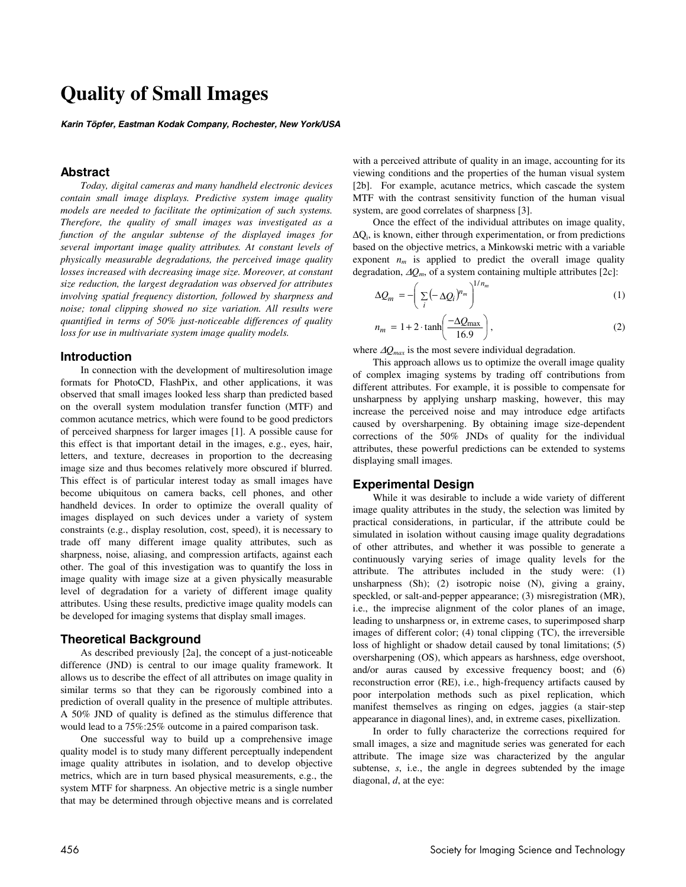# **Quality of Small Images**

**Karin Töpfer, Eastman Kodak Company, Rochester, New York/USA** 

# **Abstract**

*Today, digital cameras and many handheld electronic devices contain small image displays. Predictive system image quality models are needed to facilitate the optimization of such systems. Therefore, the quality of small images was investigated as a function of the angular subtense of the displayed images for several important image quality attributes. At constant levels of physically measurable degradations, the perceived image quality losses increased with decreasing image size. Moreover, at constant size reduction, the largest degradation was observed for attributes involving spatial frequency distortion, followed by sharpness and noise; tonal clipping showed no size variation. All results were quantified in terms of 50% just-noticeable differences of quality loss for use in multivariate system image quality models.* 

#### **Introduction**

In connection with the development of multiresolution image formats for PhotoCD, FlashPix, and other applications, it was observed that small images looked less sharp than predicted based on the overall system modulation transfer function (MTF) and common acutance metrics, which were found to be good predictors of perceived sharpness for larger images [1]. A possible cause for this effect is that important detail in the images, e.g., eyes, hair, letters, and texture, decreases in proportion to the decreasing image size and thus becomes relatively more obscured if blurred. This effect is of particular interest today as small images have become ubiquitous on camera backs, cell phones, and other handheld devices. In order to optimize the overall quality of images displayed on such devices under a variety of system constraints (e.g., display resolution, cost, speed), it is necessary to trade off many different image quality attributes, such as sharpness, noise, aliasing, and compression artifacts, against each other. The goal of this investigation was to quantify the loss in image quality with image size at a given physically measurable level of degradation for a variety of different image quality attributes. Using these results, predictive image quality models can be developed for imaging systems that display small images.

# **Theoretical Background**

As described previously [2a], the concept of a just-noticeable difference (JND) is central to our image quality framework. It allows us to describe the effect of all attributes on image quality in similar terms so that they can be rigorously combined into a prediction of overall quality in the presence of multiple attributes. A 50% JND of quality is defined as the stimulus difference that would lead to a 75%:25% outcome in a paired comparison task.

One successful way to build up a comprehensive image quality model is to study many different perceptually independent image quality attributes in isolation, and to develop objective metrics, which are in turn based physical measurements, e.g., the system MTF for sharpness. An objective metric is a single number that may be determined through objective means and is correlated with a perceived attribute of quality in an image, accounting for its viewing conditions and the properties of the human visual system [2b]. For example, acutance metrics, which cascade the system MTF with the contrast sensitivity function of the human visual system, are good correlates of sharpness [3].

Once the effect of the individual attributes on image quality, ∆Qi, is known, either through experimentation, or from predictions based on the objective metrics, a Minkowski metric with a variable exponent  $n_m$  is applied to predict the overall image quality degradation, ∆*Qm*, of a system containing multiple attributes [2c]:

$$
\Delta Q_m = -\left(\sum_i \left(-\Delta Q_i\right)^{n_m}\right)^{1/n_m} \tag{1}
$$

$$
n_m = 1 + 2 \cdot \tanh\left(\frac{-\Delta Q_{\text{max}}}{16.9}\right),\tag{2}
$$

where ∆*Qmax* is the most severe individual degradation.

This approach allows us to optimize the overall image quality of complex imaging systems by trading off contributions from different attributes. For example, it is possible to compensate for unsharpness by applying unsharp masking, however, this may increase the perceived noise and may introduce edge artifacts caused by oversharpening. By obtaining image size-dependent corrections of the 50% JNDs of quality for the individual attributes, these powerful predictions can be extended to systems displaying small images.

#### **Experimental Design**

While it was desirable to include a wide variety of different image quality attributes in the study, the selection was limited by practical considerations, in particular, if the attribute could be simulated in isolation without causing image quality degradations of other attributes, and whether it was possible to generate a continuously varying series of image quality levels for the attribute. The attributes included in the study were: (1) unsharpness (Sh); (2) isotropic noise (N), giving a grainy, speckled, or salt-and-pepper appearance; (3) misregistration (MR), i.e., the imprecise alignment of the color planes of an image, leading to unsharpness or, in extreme cases, to superimposed sharp images of different color; (4) tonal clipping (TC), the irreversible loss of highlight or shadow detail caused by tonal limitations; (5) oversharpening (OS), which appears as harshness, edge overshoot, and/or auras caused by excessive frequency boost; and (6) reconstruction error (RE), i.e., high-frequency artifacts caused by poor interpolation methods such as pixel replication, which manifest themselves as ringing on edges, jaggies (a stair-step appearance in diagonal lines), and, in extreme cases, pixellization.

In order to fully characterize the corrections required for small images, a size and magnitude series was generated for each attribute. The image size was characterized by the angular subtense, *s*, i.e., the angle in degrees subtended by the image diagonal, *d*, at the eye: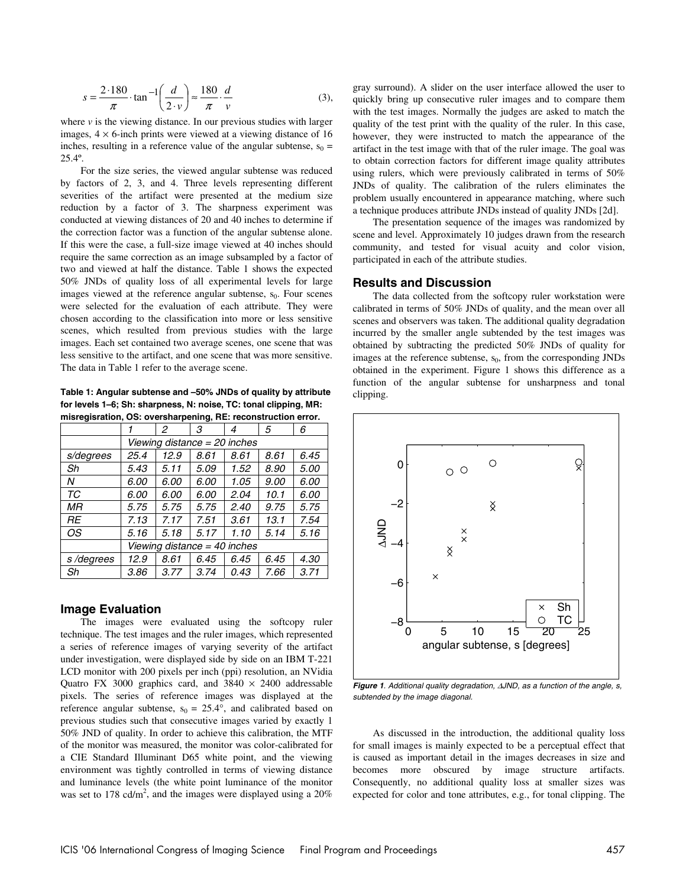$$
s = \frac{2.180}{\pi} \cdot \tan^{-1} \left( \frac{d}{2 \cdot \nu} \right) \approx \frac{180}{\pi} \cdot \frac{d}{\nu}
$$
 (3),

where  $\nu$  is the viewing distance. In our previous studies with larger images,  $4 \times 6$ -inch prints were viewed at a viewing distance of 16 inches, resulting in a reference value of the angular subtense,  $s_0 =$ 25.4º.

For the size series, the viewed angular subtense was reduced by factors of 2, 3, and 4. Three levels representing different severities of the artifact were presented at the medium size reduction by a factor of 3. The sharpness experiment was conducted at viewing distances of 20 and 40 inches to determine if the correction factor was a function of the angular subtense alone. If this were the case, a full-size image viewed at 40 inches should require the same correction as an image subsampled by a factor of two and viewed at half the distance. Table 1 shows the expected 50% JNDs of quality loss of all experimental levels for large images viewed at the reference angular subtense,  $s_0$ . Four scenes were selected for the evaluation of each attribute. They were chosen according to the classification into more or less sensitive scenes, which resulted from previous studies with the large images. Each set contained two average scenes, one scene that was less sensitive to the artifact, and one scene that was more sensitive. The data in Table 1 refer to the average scene.

**Table 1: Angular subtense and –50% JNDs of quality by attribute for levels 1–6; Sh: sharpness, N: noise, TC: tonal clipping, MR: misregisration, OS: oversharpening, RE: reconstruction error.** 

|                              | 1                            | 2    | З    | 4    | 5    | 6           |  |
|------------------------------|------------------------------|------|------|------|------|-------------|--|
|                              | Viewing distance = 20 inches |      |      |      |      |             |  |
| s/degrees                    | 25.4                         | 12.9 | 8.61 | 8.61 | 8.61 | 6.45        |  |
| Sh                           | 5.43                         | 5.11 | 5.09 | 1.52 | 8.90 | <i>5.00</i> |  |
| Ν                            | 6.00                         | 6.00 | 6.00 | 1.05 | 9.00 | 6.00        |  |
| ТC                           | 6.00                         | 6.00 | 6.00 | 2.04 | 10.1 | 6.00        |  |
| МR                           | 5.75                         | 5.75 | 5.75 | 2.40 | 9.75 | 5.75        |  |
| RF                           | 7.13                         | 7.17 | 7.51 | 3.61 | 13.1 | 7.54        |  |
| ОS                           | 5.16                         | 5.18 | 5.17 | 1.10 | 5.14 | 5.16        |  |
| Viewing distance = 40 inches |                              |      |      |      |      |             |  |
| s/degrees                    | 12.9                         | 8.61 | 6.45 | 6.45 | 6.45 | 4.30        |  |
| Sh                           | 3.86                         | 3.77 | 3.74 | 0.43 | 7.66 | 3.71        |  |

## **Image Evaluation**

The images were evaluated using the softcopy ruler technique. The test images and the ruler images, which represented a series of reference images of varying severity of the artifact under investigation, were displayed side by side on an IBM T-221 LCD monitor with 200 pixels per inch (ppi) resolution, an NVidia Quatro FX 3000 graphics card, and  $3840 \times 2400$  addressable pixels. The series of reference images was displayed at the reference angular subtense,  $s_0 = 25.4^\circ$ , and calibrated based on previous studies such that consecutive images varied by exactly 1 50% JND of quality. In order to achieve this calibration, the MTF of the monitor was measured, the monitor was color-calibrated for a CIE Standard Illuminant D65 white point, and the viewing environment was tightly controlled in terms of viewing distance and luminance levels (the white point luminance of the monitor was set to 178 cd/m<sup>2</sup>, and the images were displayed using a  $20\%$  gray surround). A slider on the user interface allowed the user to quickly bring up consecutive ruler images and to compare them with the test images. Normally the judges are asked to match the quality of the test print with the quality of the ruler. In this case, however, they were instructed to match the appearance of the artifact in the test image with that of the ruler image. The goal was to obtain correction factors for different image quality attributes using rulers, which were previously calibrated in terms of 50% JNDs of quality. The calibration of the rulers eliminates the problem usually encountered in appearance matching, where such a technique produces attribute JNDs instead of quality JNDs [2d].

The presentation sequence of the images was randomized by scene and level. Approximately 10 judges drawn from the research community, and tested for visual acuity and color vision, participated in each of the attribute studies.

# **Results and Discussion**

The data collected from the softcopy ruler workstation were calibrated in terms of 50% JNDs of quality, and the mean over all scenes and observers was taken. The additional quality degradation incurred by the smaller angle subtended by the test images was obtained by subtracting the predicted 50% JNDs of quality for images at the reference subtense,  $s_0$ , from the corresponding JNDs obtained in the experiment. Figure 1 shows this difference as a function of the angular subtense for unsharpness and tonal clipping.



**Figure 1**. Additional quality degradation, ∆JND, as a function of the angle, s, subtended by the image diagonal.

As discussed in the introduction, the additional quality loss for small images is mainly expected to be a perceptual effect that is caused as important detail in the images decreases in size and becomes more obscured by image structure artifacts. Consequently, no additional quality loss at smaller sizes was expected for color and tone attributes, e.g., for tonal clipping. The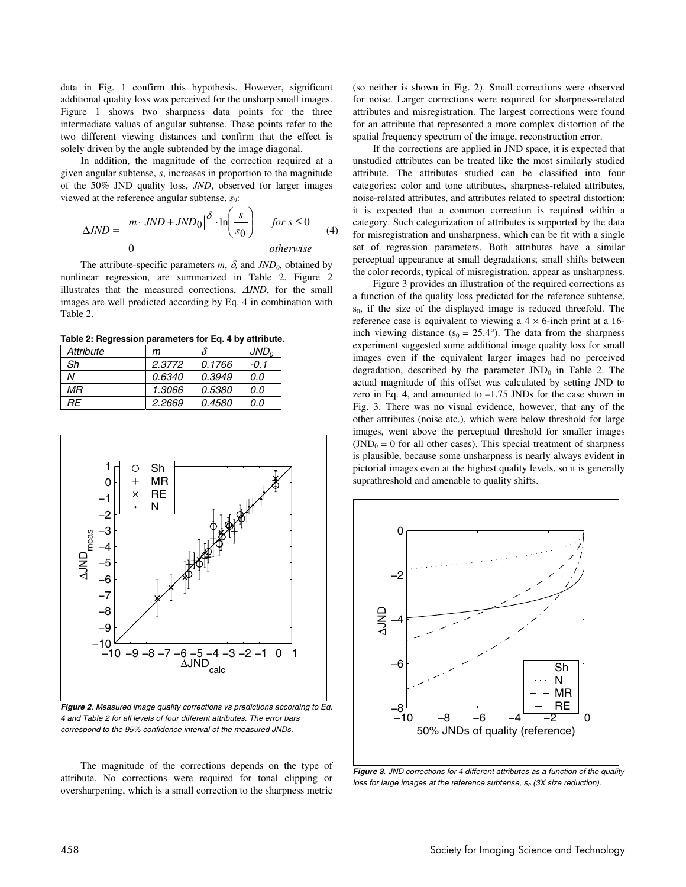data in Fig. 1 confirm this hypothesis. However, significant additional quality loss was perceived for the unsharp small images. Figure 1 shows two sharpness data points for the three intermediate values of angular subtense. These points refer to the two different viewing distances and confirm that the effect is solely driven by the angle subtended by the image diagonal.

In addition, the magnitude of the correction required at a given angular subtense, *s*, increases in proportion to the magnitude of the 50% JND quality loss, *JND*, observed for larger images viewed at the reference angular subtense, *s0*:

$$
\Delta JND = \begin{vmatrix} m \cdot |JND + JND_0|^{3} \cdot \ln\left(\frac{s}{s_0}\right) & \text{for } s \le 0\\ 0 & \text{otherwise} \end{vmatrix}
$$
 (4)

The attribute-specific parameters  $m$ ,  $\delta$ , and  $JND_0$ , obtained by nonlinear regression, are summarized in Table 2. Figure 2 illustrates that the measured corrections, ∆*JND*, for the small images are well predicted according by Eq. 4 in combination with Table 2.

**Table 2: Regression parameters for Eq. 4 by attribute.**

| Attribute | m      | δ      | JND <sub>o</sub> |
|-----------|--------|--------|------------------|
| Sh        | 2.3772 | 0.1766 | -0.1             |
| N         | 0.6340 | 0.3949 | 0.0              |
| МR        | 1.3066 | 0.5380 | 0.O              |
| RF.       | 2.2669 | 0.4580 | 0.O              |



**Figure 2**. Measured image quality corrections vs predictions according to Eq. 4 and Table 2 for all levels of four different attributes. The error bars correspond to the 95% confidence interval of the measured JNDs.

The magnitude of the corrections depends on the type of attribute. No corrections were required for tonal clipping or oversharpening, which is a small correction to the sharpness metric (so neither is shown in Fig. 2). Small corrections were observed for noise. Larger corrections were required for sharpness-related attributes and misregistration. The largest corrections were found for an attribute that represented a more complex distortion of the spatial frequency spectrum of the image, reconstruction error.

If the corrections are applied in JND space, it is expected that unstudied attributes can be treated like the most similarly studied attribute. The attributes studied can be classified into four categories: color and tone attributes, sharpness-related attributes, noise-related attributes, and attributes related to spectral distortion; it is expected that a common correction is required within a category. Such categorization of attributes is supported by the data for misregistration and unsharpness, which can be fit with a single set of regression parameters. Both attributes have a similar perceptual appearance at small degradations; small shifts between the color records, typical of misregistration, appear as unsharpness.

Figure 3 provides an illustration of the required corrections as a function of the quality loss predicted for the reference subtense, s0, if the size of the displayed image is reduced threefold. The reference case is equivalent to viewing a  $4 \times 6$ -inch print at a 16inch viewing distance ( $s_0 = 25.4^\circ$ ). The data from the sharpness experiment suggested some additional image quality loss for small images even if the equivalent larger images had no perceived degradation, described by the parameter  $JND<sub>0</sub>$  in Table 2. The actual magnitude of this offset was calculated by setting JND to zero in Eq. 4, and amounted to –1.75 JNDs for the case shown in Fig. 3. There was no visual evidence, however, that any of the other attributes (noise etc.), which were below threshold for large images, went above the perceptual threshold for smaller images  $(JND<sub>0</sub> = 0$  for all other cases). This special treatment of sharpness is plausible, because some unsharpness is nearly always evident in pictorial images even at the highest quality levels, so it is generally suprathreshold and amenable to quality shifts.



**Figure 3**. JND corrections for 4 different attributes as a function of the quality loss for large images at the reference subtense,  $s_0$  (3X size reduction).